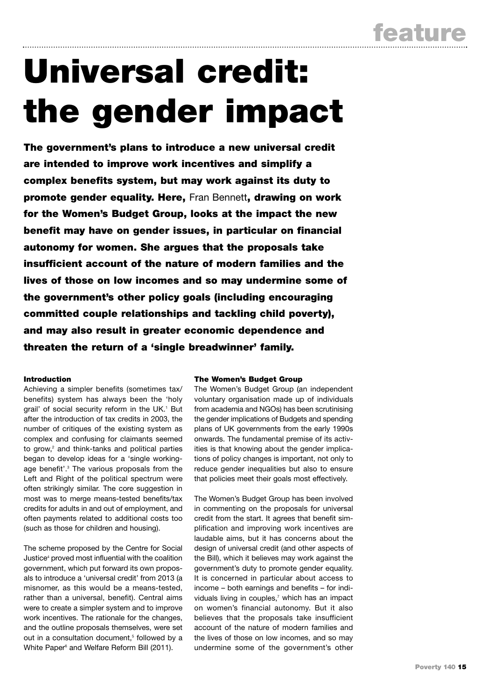# Universal credit: the gender impact

The government's plans to introduce a new universal credit are intended to improve work incentives and simplify a complex benefits system, but may work against its duty to promote gender equality. Here, Fran Bennett, drawing on work for the Women's Budget Group, looks at the impact the new benefit may have on gender issues, in particular on financial autonomy for women. She argues that the proposals take insufficient account of the nature of modern families and the lives of those on low incomes and so may undermine some of the government's other policy goals (including encouraging committed couple relationships and tackling child poverty), and may also result in greater economic dependence and threaten the return of a 'single breadwinner' family.

# Introduction

Achieving a simpler benefits (sometimes tax/ benefits) system has always been the 'holy grail' of social security reform in the UK.<sup>1</sup> But after the introduction of tax credits in 2003, the number of critiques of the existing system as complex and confusing for claimants seemed to grow, $2$  and think-tanks and political parties began to develop ideas for a 'single workingage benefit'.<sup>3</sup> The various proposals from the Left and Right of the political spectrum were often strikingly similar. The core suggestion in most was to merge means-tested benefits/tax credits for adults in and out of employment, and often payments related to additional costs too (such as those for children and housing).

The scheme proposed by the Centre for Social Justice<sup>4</sup> proved most influential with the coalition government, which put forward its own proposals to introduce a 'universal credit' from 2013 (a misnomer, as this would be a means-tested, rather than a universal, benefit). Central aims were to create a simpler system and to improve work incentives. The rationale for the changes, and the outline proposals themselves, were set out in a consultation document.<sup>5</sup> followed by a White Paper<sup>6</sup> and Welfare Reform Bill (2011).

### The Women's Budget Group

The Women's Budget Group (an independent voluntary organisation made up of individuals from academia and NGOs) has been scrutinising the gender implications of Budgets and spending plans of UK governments from the early 1990s onwards. The fundamental premise of its activities is that knowing about the gender implications of policy changes is important, not only to reduce gender inequalities but also to ensure that policies meet their goals most effectively.

The Women's Budget Group has been involved in commenting on the proposals for universal credit from the start. It agrees that benefit simplification and improving work incentives are laudable aims, but it has concerns about the design of universal credit (and other aspects of the Bill), which it believes may work against the government's duty to promote gender equality. It is concerned in particular about access to income – both earnings and benefits – for individuals living in couples, $7$  which has an impact on women's financial autonomy. But it also believes that the proposals take insufficient account of the nature of modern families and the lives of those on low incomes, and so may undermine some of the government's other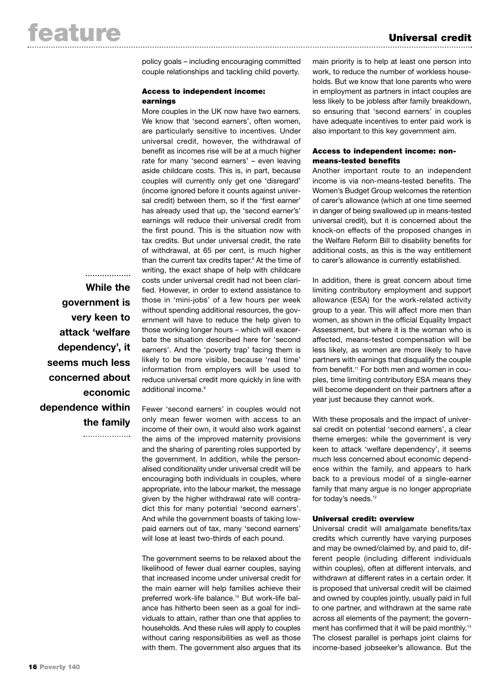policy goals – including encouraging committed couple relationships and tackling child poverty.

## Access to independent income: earnings

More couples in the UK now have two earners. We know that 'second earners', often women, are particularly sensitive to incentives. Under universal credit, however, the withdrawal of benefit as incomes rise will be at a much higher rate for many 'second earners' – even leaving aside childcare costs. This is, in part, because couples will currently only get one 'disregard' (income ignored before it counts against universal credit) between them, so if the 'first earner' has already used that up, the 'second earner's' earnings will reduce their universal credit from the first pound. This is the situation now with tax credits. But under universal credit, the rate of withdrawal, at 65 per cent, is much higher than the current tax credits taper.<sup>8</sup> At the time of writing, the exact shape of help with childcare costs under universal credit had not been clarified. However, in order to extend assistance to those in 'mini-jobs' of a few hours per week without spending additional resources, the government will have to reduce the help given to those working longer hours – which will exacerbate the situation described here for 'second earners'. And the 'poverty trap' facing them is likely to be more visible, because 'real time' information from employers will be used to reduce universal credit more quickly in line with additional income.<sup>9</sup>

Fewer 'second earners' in couples would not only mean fewer women with access to an income of their own, it would also work against the aims of the improved maternity provisions and the sharing of parenting roles supported by the government. In addition, while the personalised conditionality under universal credit will be encouraging both individuals in couples, where appropriate, into the labour market, the message given by the higher withdrawal rate will contradict this for many potential 'second earners'. And while the government boasts of taking lowpaid earners out of tax, many 'second earners' will lose at least two-thirds of each pound.

The government seems to be relaxed about the likelihood of fewer dual earner couples, saying that increased income under universal credit for the main earner will help families achieve their preferred work-life balance.10 But work-life balance has hitherto been seen as a goal for individuals to attain, rather than one that applies to households. And these rules will apply to couples without caring responsibilities as well as those with them. The government also argues that its

main priority is to help at least one person into work, to reduce the number of workless households. But we know that lone parents who were in employment as partners in intact couples are less likely to be jobless after family breakdown, so ensuring that 'second earners' in couples have adequate incentives to enter paid work is also important to this key government aim.

# Access to independent income: nonmeans-tested benefits

Another important route to an independent income is via non-means-tested benefits. The Women's Budget Group welcomes the retention of carer's allowance (which at one time seemed in danger of being swallowed up in means-tested universal credit), but it is concerned about the knock-on effects of the proposed changes in the Welfare Reform Bill to disability benefits for additional costs, as this is the way entitlement to carer's allowance is currently established.

In addition, there is great concern about time limiting contributory employment and support allowance (ESA) for the work-related activity group to a year. This will affect more men than women, as shown in the official Equality Impact Assessment, but where it is the woman who is affected, means-tested compensation will be less likely, as women are more likely to have partners with earnings that disqualify the couple from benefit.<sup>11</sup> For both men and women in couples, time limiting contributory ESA means they will become dependent on their partners after a year just because they cannot work.

With these proposals and the impact of universal credit on potential 'second earners', a clear theme emerges: while the government is very keen to attack 'welfare dependency', it seems much less concerned about economic dependence within the family, and appears to hark back to a previous model of a single-earner family that many argue is no longer appropriate for today's needs.<sup>12</sup>

### Universal credit: overview

Universal credit will amalgamate benefits/tax credits which currently have varying purposes and may be owned/claimed by, and paid to, different people (including different individuals within couples), often at different intervals, and withdrawn at different rates in a certain order. It is proposed that universal credit will be claimed and owned by couples jointly, usually paid in full to one partner, and withdrawn at the same rate across all elements of the payment; the government has confirmed that it will be paid monthly.<sup>13</sup> The closest parallel is perhaps joint claims for income-based jobseeker's allowance. But the

**While the government is very keen to attack 'welfare dependency', it seems much less concerned about economic dependence within the family**

...................

. . . . . . . . . . . . . . . . . . . .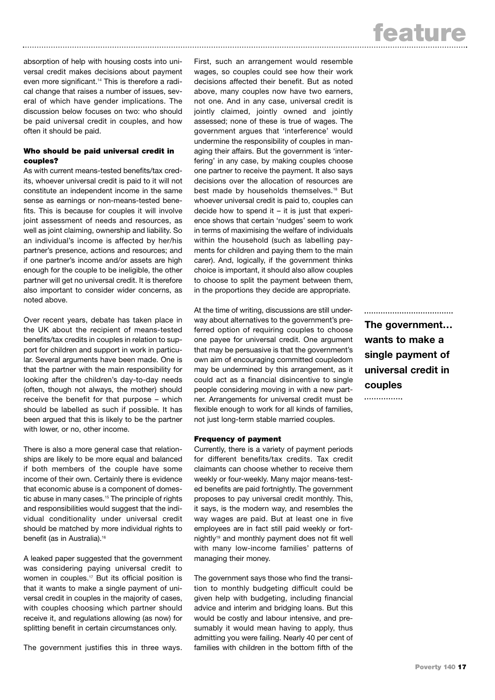absorption of help with housing costs into universal credit makes decisions about payment even more significant.<sup>14</sup> This is therefore a radical change that raises a number of issues, several of which have gender implications. The discussion below focuses on two: who should be paid universal credit in couples, and how often it should be paid.

## Who should be paid universal credit in couples?

As with current means-tested benefits/tax credits, whoever universal credit is paid to it will not constitute an independent income in the same sense as earnings or non-means-tested benefits. This is because for couples it will involve joint assessment of needs and resources, as well as joint claiming, ownership and liability. So an individual's income is affected by her/his partner's presence, actions and resources; and if one partner's income and/or assets are high enough for the couple to be ineligible, the other partner will get no universal credit. It is therefore also important to consider wider concerns, as noted above.

Over recent years, debate has taken place in the UK about the recipient of means-tested benefits/tax credits in couples in relation to support for children and support in work in particular. Several arguments have been made. One is that the partner with the main responsibility for looking after the children's day-to-day needs (often, though not always, the mother) should receive the benefit for that purpose – which should be labelled as such if possible. It has been argued that this is likely to be the partner with lower, or no, other income.

There is also a more general case that relationships are likely to be more equal and balanced if both members of the couple have some income of their own. Certainly there is evidence that economic abuse is a component of domestic abuse in many cases.<sup>15</sup> The principle of rights and responsibilities would suggest that the individual conditionality under universal credit should be matched by more individual rights to benefit (as in Australia).<sup>16</sup>

A leaked paper suggested that the government was considering paying universal credit to women in couples.<sup>17</sup> But its official position is that it wants to make a single payment of universal credit in couples in the majority of cases, with couples choosing which partner should receive it, and regulations allowing (as now) for splitting benefit in certain circumstances only.

The government justifies this in three ways.

First, such an arrangement would resemble wages, so couples could see how their work decisions affected their benefit. But as noted above, many couples now have two earners, not one. And in any case, universal credit is jointly claimed, jointly owned and jointly assessed; none of these is true of wages. The government argues that 'interference' would undermine the responsibility of couples in managing their affairs. But the government is 'interfering' in any case, by making couples choose one partner to receive the payment. It also says decisions over the allocation of resources are best made by households themselves.<sup>18</sup> But whoever universal credit is paid to, couples can decide how to spend it  $-$  it is just that experience shows that certain 'nudges' seem to work in terms of maximising the welfare of individuals within the household (such as labelling payments for children and paying them to the main carer). And, logically, if the government thinks choice is important, it should also allow couples to choose to split the payment between them, in the proportions they decide are appropriate.

At the time of writing, discussions are still underway about alternatives to the government's preferred option of requiring couples to choose one payee for universal credit. One argument that may be persuasive is that the government's own aim of encouraging committed coupledom may be undermined by this arrangement, as it could act as a financial disincentive to single people considering moving in with a new partner. Arrangements for universal credit must be flexible enough to work for all kinds of families, not just long-term stable married couples.

### Frequency of payment

Currently, there is a variety of payment periods for different benefits/tax credits. Tax credit claimants can choose whether to receive them weekly or four-weekly. Many major means-tested benefits are paid fortnightly. The government proposes to pay universal credit monthly. This, it says, is the modern way, and resembles the way wages are paid. But at least one in five employees are in fact still paid weekly or fortnightly<sup>19</sup> and monthly payment does not fit well with many low-income families' patterns of managing their money.

The government says those who find the transition to monthly budgeting difficult could be given help with budgeting, including financial advice and interim and bridging loans. But this would be costly and labour intensive, and presumably it would mean having to apply, thus admitting you were failing. Nearly 40 per cent of families with children in the bottom fifth of the ..................................... **The government… wants to make a single payment of universal credit in couples**

. . . . . . . . . . . . . . . .